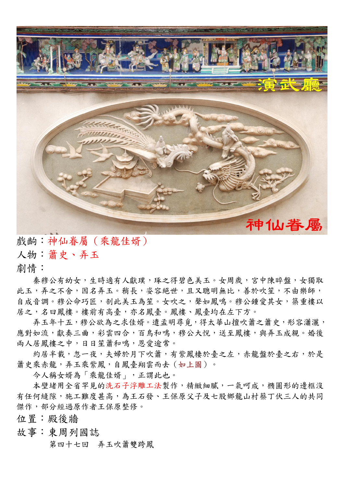

戲齣:神仙眷屬(乘龍佳婿)

人物:簫史、弄玉

劇情:

秦穆公有幼女,生時適有人獻璞,琢之得碧色美玉。女周歲,宮中陳晬盤,女獨取 此玉,弄之不舍,因名弄玉。稍長,姿容絕世,且又聰明無比,善於吹笙,不由樂師, 自成音調。穆公命巧匠,剖此美玉為笙。女吹之,聲如鳳鳴。穆公鍾愛其女,築重樓以 居之,名曰鳳樓。樓前有高臺,亦名鳳臺。鳳樓、鳳臺均在左下方。

弄玉年十五,穆公欲為之求佳婿。遣孟明尋覓,得太華山擅吹簫之簫史,形容瀟灑, 應對如流,獻奏三曲,彩雲四合,百鳥和鳴,穆公大悅,送至鳳樓,與弄玉成親。婚後 兩人居鳳樓之中,日日笙簫和鳴,恩愛逾常。

約居半載,忽一夜,夫婦於月下吹簫,有紫鳳棲於臺之左,赤龍盤於臺之右,於是 簫史乘赤龍,弄玉乘紫鳳,自鳳臺翔雲而去(如上圖)。

今人稱女婿為「乘龍佳婿」,正謂此也。

本壁堵用全省罕見的洗石子浮雕工法製作,精緻細膩,一氣呵成,橢圓形的邊框沒 有任何縫隙,施工難度甚高,為王石發、王保原父子及七股鄉龍山村蔡丁伏三人的共同 傑作,部分經過原作者王保原整修。

位置:殿後牆

故事:東周列國誌

第四十七回 [弄玉吹簫雙跨鳳](http://shiau.idv.tw/td11/cwav/03ernd.ra)